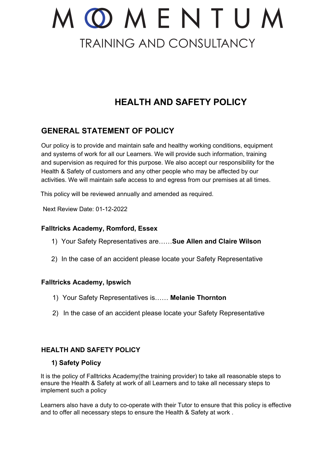# OMENTUM TRAINING AND CONSULTANCY

### **HEALTH AND SAFETY POLICY**

### **GENERAL STATEMENT OF POLICY**

Our policy is to provide and maintain safe and healthy working conditions, equipment and systems of work for all our Learners. We will provide such information, training and supervision as required for this purpose. We also accept our responsibility for the Health & Safety of customers and any other people who may be affected by our activities. We will maintain safe access to and egress from our premises at all times.

This policy will be reviewed annually and amended as required.

Next Review Date: 01-12-2022

#### **Falltricks Academy, Romford, Essex**

- 1) Your Safety Representatives are……**Sue Allen and Claire Wilson**
- 2) In the case of an accident please locate your Safety Representative

#### **Falltricks Academy, Ipswich**

- 1) Your Safety Representatives is…… **Melanie Thornton**
- 2) In the case of an accident please locate your Safety Representative

#### **HEALTH AND SAFETY POLICY**

#### **1) Safety Policy**

It is the policy of Falltricks Academy(the training provider) to take all reasonable steps to ensure the Health & Safety at work of all Learners and to take all necessary steps to implement such a policy

Learners also have a duty to co-operate with their Tutor to ensure that this policy is effective and to offer all necessary steps to ensure the Health & Safety at work .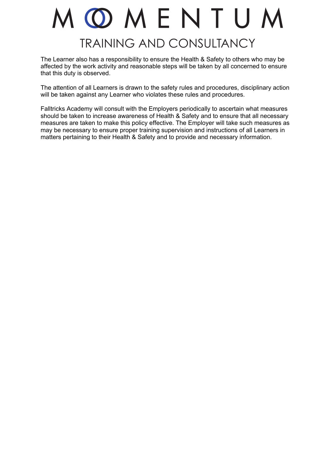### OMENTUM TRAINING AND CONSULTANCY

The Learner also has a responsibility to ensure the Health & Safety to others who may be affected by the work activity and reasonable steps will be taken by all concerned to ensure that this duty is observed.

The attention of all Learners is drawn to the safety rules and procedures, disciplinary action will be taken against any Learner who violates these rules and procedures.

Falltricks Academy will consult with the Employers periodically to ascertain what measures should be taken to increase awareness of Health & Safety and to ensure that all necessary measures are taken to make this policy effective. The Employer will take such measures as may be necessary to ensure proper training supervision and instructions of all Learners in matters pertaining to their Health & Safety and to provide and necessary information.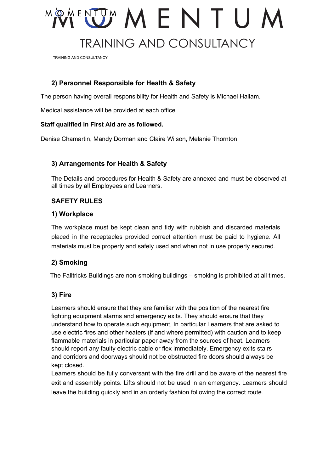

TRAINING AND CONSULTANCY

#### **2) Personnel Responsible for Health & Safety**

The person having overall responsibility for Health and Safety is Michael Hallam.

Medical assistance will be provided at each office.

#### **Staff qualified in First Aid are as followed.**

Denise Chamartin, Mandy Dorman and Claire Wilson, Melanie Thornton.

#### **3) Arrangements for Health & Safety**

The Details and procedures for Health & Safety are annexed and must be observed at all times by all Employees and Learners.

#### **SAFETY RULES**

#### **1) Workplace**

The workplace must be kept clean and tidy with rubbish and discarded materials placed in the receptacles provided correct attention must be paid to hygiene. All materials must be properly and safely used and when not in use properly secured.

#### **2) Smoking**

The Falltricks Buildings are non-smoking buildings – smoking is prohibited at all times.

#### **3) Fire**

Learners should ensure that they are familiar with the position of the nearest fire fighting equipment alarms and emergency exits. They should ensure that they understand how to operate such equipment, In particular Learners that are asked to use electric fires and other heaters (if and where permitted) with caution and to keep flammable materials in particular paper away from the sources of heat. Learners should report any faulty electric cable or flex immediately. Emergency exits stairs and corridors and doorways should not be obstructed fire doors should always be kept closed.

Learners should be fully conversant with the fire drill and be aware of the nearest fire exit and assembly points. Lifts should not be used in an emergency. Learners should leave the building quickly and in an orderly fashion following the correct route.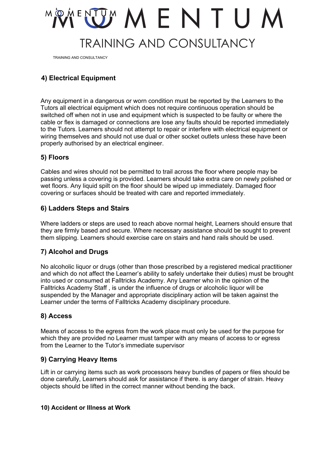# MOVIE YTTY MENTUM TRAINING AND CONSULTANCY

TRAINING AND CONSULTANCY

#### **4) Electrical Equipment**

Any equipment in a dangerous or worn condition must be reported by the Learners to the Tutors all electrical equipment which does not require continuous operation should be switched off when not in use and equipment which is suspected to be faulty or where the cable or flex is damaged or connections are lose any faults should be reported immediately to the Tutors. Learners should not attempt to repair or interfere with electrical equipment or wiring themselves and should not use dual or other socket outlets unless these have been properly authorised by an electrical engineer.

#### **5) Floors**

Cables and wires should not be permitted to trail across the floor where people may be passing unless a covering is provided. Learners should take extra care on newly polished or wet floors. Any liquid spilt on the floor should be wiped up immediately. Damaged floor covering or surfaces should be treated with care and reported immediately.

#### **6) Ladders Steps and Stairs**

Where ladders or steps are used to reach above normal height, Learners should ensure that they are firmly based and secure. Where necessary assistance should be sought to prevent them slipping. Learners should exercise care on stairs and hand rails should be used.

#### **7) Alcohol and Drugs**

No alcoholic liquor or drugs (other than those prescribed by a registered medical practitioner and which do not affect the Learner's ability to safely undertake their duties) must be brought into used or consumed at Falltricks Academy. Any Learner who in the opinion of the Falltricks Academy Staff , is under the influence of drugs or alcoholic liquor will be suspended by the Manager and appropriate disciplinary action will be taken against the Learner under the terms of Falltricks Academy disciplinary procedure.

#### **8) Access**

Means of access to the egress from the work place must only be used for the purpose for which they are provided no Learner must tamper with any means of access to or egress from the Learner to the Tutor's immediate supervisor

#### **9) Carrying Heavy Items**

Lift in or carrying items such as work processors heavy bundles of papers or files should be done carefully, Learners should ask for assistance if there. is any danger of strain. Heavy objects should be lifted in the correct manner without bending the back.

#### **10) Accident or Illness at Work**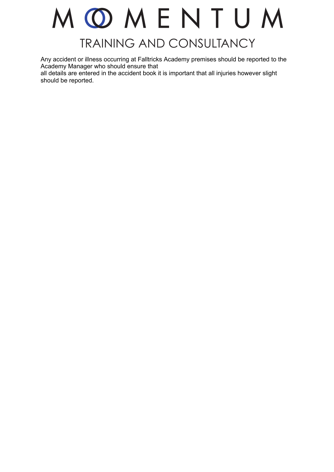### OMENTUM TRAINING AND CONSULTANCY

Any accident or illness occurring at Falltricks Academy premises should be reported to the Academy Manager who should ensure that

all details are entered in the accident book it is important that all injuries however slight should be reported.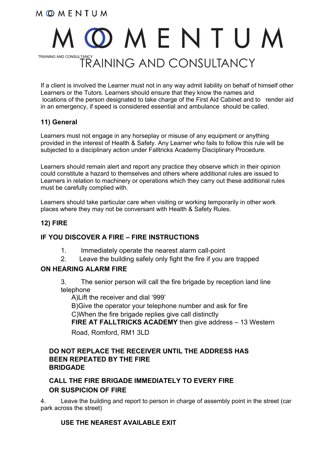MOMENTUM

# OMENTUM TRAINING AND CONSULTANCY TRAINING AND CONSULTANCY

If a client is involved the Learner must not in any way admit liability on behalf of himself other Learners or the Tutors. Learners should ensure that they know the names and locations of the person designated to take charge of the First Aid Cabinet and to render aid in an emergency, if speed is considered essential and ambulance should be called.

#### **11) General**

Learners must not engage in any horseplay or misuse of any equipment or anything provided in the interest of Health & Safety. Any Learner who fails to follow this rule will be subjected to a disciplinary action under Falltricks Academy Disciplinary Procedure.

Learners should remain alert and report any practice they observe which in their opinion could constitute a hazard to themselves and others where additional rules are issued to Learners in relation to machinery or operations which they carry out these additional rules must be carefully complied with.

Learners should take particular care when visiting or working temporarily in other work places where they may not be conversant with Health & Safety Rules.

#### **12) FIRE**

#### **IF YOU DISCOVER A FIRE – FIRE INSTRUCTIONS**

- 1. Immediately operate the nearest alarm call-point
- 2. Leave the building safely only fight the fire if you are trapped

#### **ON HEARING ALARM FIRE**

3. The senior person will call the fire brigade by reception land line telephone

A)Lift the receiver and dial '999'

B)Give the operator your telephone number and ask for fire C)When the fire brigade replies give call distinctly

**FIRE AT FALLTRICKS ACADEMY** then give address – 13 Western

Road, Romford, RM1 3LD

#### **DO NOT REPLACE THE RECEIVER UNTIL THE ADDRESS HAS BEEN REPEATED BY THE FIRE BRIDGADE**

#### **CALL THE FIRE BRIGADE IMMEDIATELY TO EVERY FIRE OR SUSPICION OF FIRE**

4. Leave the building and report to person in charge of assembly point in the street (car park across the street)

#### **USE THE NEAREST AVAILABLE EXIT**